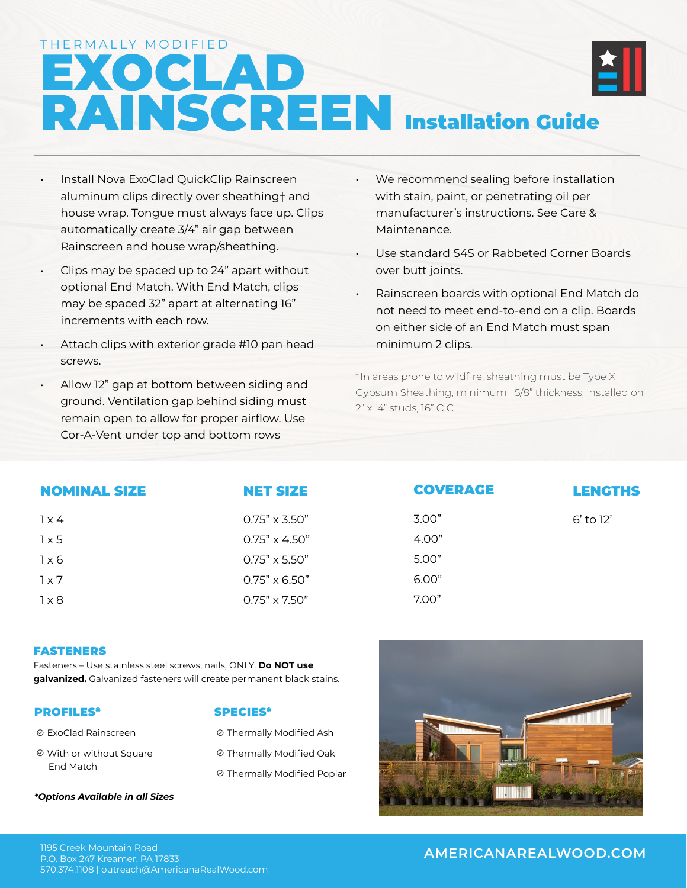THERMALLY MODIFIED

# EXOCLAD RAINSCREEN Installation Guide

- Install Nova ExoClad QuickClip Rainscreen aluminum clips directly over sheathing† and house wrap. Tongue must always face up. Clips automatically create 3/4" air gap between Rainscreen and house wrap/sheathing.
- Clips may be spaced up to 24" apart without optional End Match. With End Match, clips may be spaced 32" apart at alternating 16" increments with each row.
- Attach clips with exterior grade #10 pan head screws.
- Allow 12" gap at bottom between siding and ground. Ventilation gap behind siding must remain open to allow for proper airflow. Use Cor-A-Vent under top and bottom rows
- We recommend sealing before installation with stain, paint, or penetrating oil per manufacturer's instructions. See Care & Maintenance.
- Use standard S4S or Rabbeted Corner Boards over butt joints.
- Rainscreen boards with optional End Match do not need to meet end-to-end on a clip. Boards on either side of an End Match must span minimum 2 clips.

† In areas prone to wildfire, sheathing must be Type X Gypsum Sheathing, minimum 5/8" thickness, installed on 2" x 4" studs, 16" O.C.

| <b>NOMINAL SIZE</b> | <b>NET SIZE</b>      | <b>COVERAGE</b> | <b>LENGTHS</b> |
|---------------------|----------------------|-----------------|----------------|
| 1x4                 | $0.75" \times 3.50"$ | 3.00"           | 6' to 12'      |
| $1 \times 5$        | $0.75" \times 4.50"$ | 4.00"           |                |
| 1x6                 | $0.75" \times 5.50"$ | 5.00"           |                |
| 1x7                 | $0.75" \times 6.50"$ | 6.00"           |                |
| $1\times8$          | $0.75" \times 7.50"$ | 7.00"           |                |

### FASTENERS

Fasteners – Use stainless steel screws, nails, ONLY. **Do NOT use galvanized.** Galvanized fasteners will create permanent black stains.

### PROFILES\*

### SPECIES\*

 ExoClad Rainscreen With or without Square End Match Thermally Modified Ash Thermally Modified Oak **© Thermally Modified Poplar** 

*\*Options Available in all Sizes*

**AMERICANAREALWOOD.COM** 1195 Creek Mountain Road 570.374.1108 | outreach@AmericanaRealWood.com